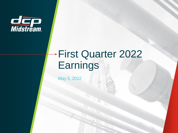

# First Quarter 2022 **Earnings**

May 5, 2022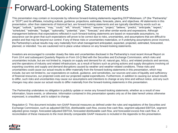## Forward-Looking Statements

This presentation may contain or incorporate by reference forward-looking statements regarding DCP Midstream, LP (the "Partnership" or "DCP") and its affiliates, including outlook, guidance, projections, estimates, forecasts, plans, and objectives. All statements in this presentation, other than statements of historical fact, are forward-looking statements and are typically identified by words such as "target," "outlook," "guidance," "may," "could," "will," "should," "intend," "assume," "project," "believe," "predict," "anticipate," "expect," "scheduled," "estimate," "budget," "optionality," "potential," "plan," "forecast," and other similar words and expressions. Although management believes that expectations reflected in such forward-looking statements are based on reasonable assumptions, no assurance can be given that such expectations will prove to be correct due to risks, uncertainties, and assumptions that are difficult to predict and that may be beyond our control. If any of these risks or uncertainties materialize, or if underlying assumptions prove incorrect, the Partnership's actual results may vary materially from what management anticipated, expected, projected, estimated, forecasted, planned, or intended. You are cautioned not to place undue reliance on any forward-looking statements.

Investors are encouraged to consider closely the risks and uncertainties disclosed in the Partnership's most recent Annual Report on Form 10-K and subsequent Quarterly Reports on Form 10-Q filed with the Securities and Exchange Commission, which risks and uncertainties include, but are not limited to, impacts on supply and demand for oil, natural gas, NGLs, and related products and services, and the operations of industry and related infrastructure, as a result of factors such as pricing actions and supply disruptions involving oil exporting countries and supply and demand disruptions caused by weather and weather-related conditions. These risks and uncertainties could cause our actual results to differ materially from the forward-looking statements in this presentation, which may include, but are not limited to, our expectations on outlook, guidance, and sensitivities, our sources and uses of liquidity and sufficiency of financial resources, our projected costs and our projected capital expenditures. Furthermore, in addition to causing our actual results to differ, such risks and uncertainties may cause our assumptions and intentions to change at any time and without notice, and any such changes may also cause our actual results to differ materially from the forward-looking statements in this presentation.

The Partnership undertakes no obligation to publicly update or revise any forward-looking statements, whether as a result of new information, future events, or otherwise. Information contained in this presentation speaks only as of the date hereof unless otherwise expressed, is unaudited, and is subject to change.

Regulation G: This document includes non-GAAP financial measures as defined under the rules and regulations of the Securities and Exchange Commission, such as adjusted EBITDA, distributable cash flow, excess free cash flow, segment adjusted EBITDA, segment adjusted gross margin, forecasted adjusted EBITDA, forecasted distributable cash flow, and forecasted excess free cash flow. A reconciliation of these measures to the most directly comparable GAAP measures is included in the Appendix to this presentation.

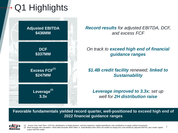# Q1 Highlights



*Record results for adjusted EBITDA, DCF, and excess FCF*

### *On track to exceed high end of financial guidance ranges*

### *\$1.4B credit facility renewed; linked to Sustainability*

*Leverage improved to 3.3x; set up well for 2H distribution raise*

**Favorable fundamentals yielded record quarter, well-positioned to exceed high end of 2022 financial guidance ranges** 



*(1) Excess Free Cash Flow = DCF less distributions to limited partners, and less expansion capital expenditures and contributions to equity method investments (2) Bank leverage ratio calculation = Bank debt (excludes \$550 million Jr. Subordinated notes which are treated as equity) less cash divided by adjusted EBITDA, plus certain capital project EBITDA credits*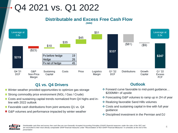## Q4 2021 vs. Q1 2022

#### **Distributable and Excess Free Cash Flow**  *(\$MM)*



### **Q1 vs. Q4 Drivers**

- **↑** Winter weather provided opportunities to optimize gas storage
- **↑ Strong commodity price environment (NGL / Gas / Crude)**
- ↑ Costs and sustaining capital trends normalized from Q4 highs and inline with 2022 outlook
- **f** Favorable cash distributions from joint ventures Q1 vs. Q4
- G&P volumes and performance impacted by winter weather

### **Outlook**

- ❖ Forward curve favorable to mid-point guidance… \$200MM+ of upside
- ❖ Forecasting G&P volumes to ramp up in 2H of year
- ❖ Realizing favorable Sand Hills volumes
- ❖ Costs and sustaining capital in-line with full year guidance
- ❖ Disciplined investment in the Permian and DJ

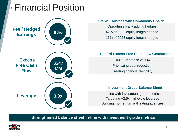## Financial Position

### **Fee / Hedged Earnings**



**Excess Free Cash Flow**



### **Stable Earnings with Commodity Upside**

Opportunistically adding hedges 42% of 2022 equity length hedged 16% of 2023 equity length hedged

### **Record Excess Free Cash Flow Generation**

100%+ increase vs. Q4 Prioritizing debt reduction Creating financial flexibility

### **Investment Grade Balance Sheet**

**Leverage 1 3.3x In-line with investment grade metrics** Targeting ~3.5x mid-cycle leverage Building momentum with rating agencies

**Strengthened balance sheet in-line with investment grade metrics**

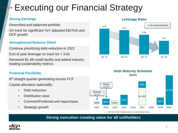## Executing our Financial Strategy

### **Strong Earnings**

Diversified and balanced portfolio On track for significant YoY adjusted EBITDA and DCF growth

### **Strengthened Balance Sheet**

Continue prioritizing debt reduction in 2022 End of year leverage on track for < 3.0x Renewed \$1.4B credit facility and added industry leading sustainability metrics

### **Financial Flexibility**

8<sup>th</sup> straight quarter generating excess FCF Capital allocation optionality

- Debt reduction
- Distribution raise
- Common/Preferred unit repurchase
- Strategic growth





**Debt Maturity Schedule**

#### **Leverage Ratio**

*A/R and Credit Facilities linked to Sustainability metrics*

**Strong execution creating value for all unitholders**

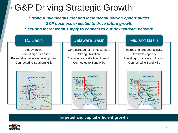## G&P Driving Strategic Growth

*Strong fundamentals creating incremental bolt-on opportunities G&P business expected to drive future growth Securing incremental supply to connect to our downstream network*



**Targeted and capital efficient growth**

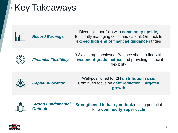# Key Takeaways



Diversified portfolio with **commodity upside**; Efficiently managing costs and capital; On track to **exceed high end of financial guidance** ranges



3.3x leverage achieved; Balance sheet in-line with **investment grade metrics** and providing financial flexibility *Financial Flexibility*



*Capital Allocation*

Well-positioned for 2H **distribution raise**; Continued focus on **debt reduction**; **Targeted growth**



*Strong Fundamental Outlook*

**Strengthened industry outlook** driving potential for a **commodity super cycle**

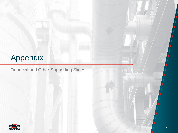## Appendix

Financial and Other Supporting Slides

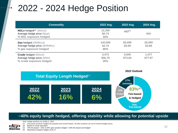## 2022 - 2024 Hedge Position

| <b>Commodity</b>                                                                               | 2022 Avg.                | 2023 Avg.        | 2024 Avg.        |
|------------------------------------------------------------------------------------------------|--------------------------|------------------|------------------|
| $NGLs$ hedged <sup>(1)</sup> (Bbls/d)<br>Average hedge price (\$/gal)<br>% NGL exposure hedged | 12,309<br>\$0.74<br>30%  | $493^{(4)}$      | N/A              |
| <b>Gas hedged (MMBtu/d)</b><br>Average hedge price (\$/MMBtu)<br>% gas exposure hedged         | 142,500<br>\$2.70<br>66% | 50,000<br>\$4.09 | 20,000<br>\$3.89 |
| <b>Crude hedged (Bbls/d)</b><br>Average hedge price (\$/Bbl)<br>% crude exposure hedged        | 3,473<br>\$56.79<br>26%  | 3,945<br>\$73.64 | 1,477<br>\$77.97 |



### **~40% equity length hedged, offering stability while allowing for potential upside**

dco *Midstrēam* 

- *Note: Hedge positions as of May 3, 2022*
- *(1) Only purity products hedged are propane and normal butane, all other products are set to internal budget prices*
- *(2) Based on crude equivalent*
- *(3) 70% fee-based + 42% of 30% open position hedged = 83% fee-based and hedged*
- *(4) Represents propane hedges at \$1.11*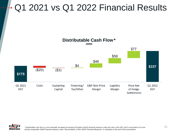## Q1 2021 vs Q1 2022 Financial Results



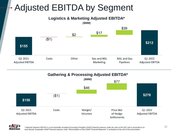## Adjusted EBITDA by Segment

**Logistics & Marketing Adjusted EBITDA\*** 



**Gathering & Processing Adjusted EBITDA\*** 



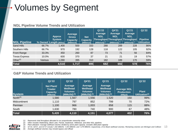## Volumes by Segment

#### **NGL Pipeline Volume Trends and Utilization**

| <b>NGL Pipeline</b>  |         | <b>Approx</b><br><b>System</b><br>% Owned Length (Miles) | <b>Average</b><br><b>Gross</b><br><b>Capacity</b><br>(MBbls/d) | <b>Net</b><br><b>Capacity</b><br>(MBbls/d) | Q1'22<br><b>Average</b><br><b>NGL</b><br>$(MBbls/d)^{(1)}$ | Q4'21<br>Average<br><b>NGL</b><br>$(MBbls/d)^{(1)}$ | Q1'21<br>Average<br><b>NGL</b><br>Throughput Throughput Throughput<br>$(MBbls/d)^{(1)}$ | Q1'22<br><b>Pipeline</b><br>Utilization |
|----------------------|---------|----------------------------------------------------------|----------------------------------------------------------------|--------------------------------------------|------------------------------------------------------------|-----------------------------------------------------|-----------------------------------------------------------------------------------------|-----------------------------------------|
| <b>Sand Hills</b>    | 66.7%   | 1,400                                                    | 500                                                            | 333                                        | 288                                                        | 289                                                 | 228                                                                                     | 86%                                     |
| Southern Hills       | 66.7%   | 970                                                      | 192                                                            | 128                                        | 118                                                        | 122                                                 | 105                                                                                     | 92%                                     |
| <b>Front Range</b>   | 33.3%   | 450                                                      | 260                                                            | 87                                         | 73                                                         | 71                                                  | 56                                                                                      | 84%                                     |
| <b>Texas Express</b> | 10.0%   | 600                                                      | 370                                                            | 37                                         | 21                                                         | 21                                                  | 19                                                                                      | 57%                                     |
| Other $(2)$          | Various | 1,090                                                    | 395                                                            | 310                                        | 182                                                        | 189                                                 | 170                                                                                     | 59%                                     |
| <b>Total</b>         |         | 4,510                                                    | 1,717                                                          | 895                                        | 682                                                        | 692                                                 | 578                                                                                     | 76%                                     |

#### **G&P Volume Trends and Utilization**

|               | Q1'22                                                              | Q1'22                                                                     | Q4'21                                                                     | Q1'21                                                              | Q1'22                                             | Q1'22                          |
|---------------|--------------------------------------------------------------------|---------------------------------------------------------------------------|---------------------------------------------------------------------------|--------------------------------------------------------------------|---------------------------------------------------|--------------------------------|
| <b>System</b> | <b>Net Plant/</b><br><b>Treater</b><br><b>Capacity</b><br>(MMcf/d) | Average<br><b>Wellhead</b><br><b>Volumes</b><br>$(MMcf/d)$ <sup>(5)</sup> | Average<br><b>Wellhead</b><br><b>Volumes</b><br>$(MMcf/d)$ <sup>(5)</sup> | Average<br>Wellhead<br><b>Volumes</b><br>$(MMcf/d)$ <sup>(5)</sup> | <b>Average NGL</b><br><b>Production</b><br>(MBpd) | <b>Plant</b><br>Utilization(3) |
| North $(4)$   | 1,580                                                              | 1,567                                                                     | 1,556                                                                     | 1,520                                                              | 150                                               | 99%                            |
| Midcontinent  | 1,110                                                              | 797                                                                       | 852                                                                       | 799                                                                | 70                                                | 72%                            |
| Permian       | 1,100                                                              | 966                                                                       | 1,003                                                                     | 858                                                                | 115                                               | 88%                            |
| South         | 1,630                                                              | 780                                                                       | 740                                                                       | 900                                                                | 67                                                | 48%                            |
| <b>Total</b>  | 5,420                                                              | 4,110                                                                     | 4,151                                                                     | 4,077                                                              | 402                                               | 76%                            |



- *(1) Represents total throughput allocated to our proportionate ownership share*
- *(2) Other includes Wattenberg, Black Lake, Panola, Seabreeze, Wilbreeze, and other NGL pipelines*
- *(3) Plant utilization: Average wellhead volumes divided by active plant capacity, excludes idled plant capacity*

13 *(4) Q1'22, Q4'21, and Q1'21 include 1,342 MMcf/d, 1,343 MMcf/d, and 1,276 MMcf/d, respectively, of DJ Basin wellhead volumes. Remaining volumes are Michigan and Collbran (5) Average wellhead volumes may include bypass and offload*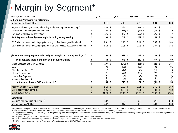# Margin by Segment\*

| \$MM, except per unit measures                                                                                         |          | Q1 2022             | Q4 2021             |      | Q3 2021            |                           | Q2 2021            |                | Q1 2021       |
|------------------------------------------------------------------------------------------------------------------------|----------|---------------------|---------------------|------|--------------------|---------------------------|--------------------|----------------|---------------|
| <b>Gathering &amp; Processing (G&amp;P) Segment</b>                                                                    |          |                     |                     |      |                    |                           |                    |                |               |
| Natural gas wellhead - Bcf/d                                                                                           |          | 4.11                | 4.15                |      | 4.22               |                           | 4.34               |                | 4.08          |
| Segment adjusted gross margin including equity earnings before hedging (1)<br>Net realized cash hedge settlements paid | \$<br>\$ | 484 \$<br>$(63)$ \$ | 487 \$<br>$(88)$ \$ |      | 441<br>$(59)$ \$   | \$                        | 367<br>$(23)$ \$   | \$             | 381<br>(80)   |
| Non-cash unrealized gains (losses)                                                                                     |          | $(131)$ \$          | 143                 | - \$ | $(100)$ \$         |                           | $(101)$ \$         |                | (48)          |
| G&P Segment adjusted gross margin including equity earnings                                                            | \$       | 290 \$              | 542 \$              |      | 282 \$             |                           | 243                | \$             | 253           |
| G&P adjusted margin including equity earnings before hedging/wellhead mcf                                              | \$       | $1.31$ \$           | $1.28$ \$           |      | 1.14               | -\$                       | 0.93               | \$             | 1.04          |
| G&P adjusted margin including equity earnings and realized hedges/wellhead mcf                                         | \$       | $1.14$ \$           | $1.05$ \$           |      | 0.98               | \$                        | 0.87               | \$             | 0.82          |
| Logistics & Marketing Segment adjusted gross margin incl. equity earnings $^{\textrm{\tiny{(2)}}}$                     | \$       | $153$ \$            | 199 \$              |      | 168 \$             |                           | $134$ \$           |                | 156           |
| Total adjusted gross margin including equity earnings                                                                  | \$       | 443 \$              | 741 \$              |      | 450 \$             |                           | $377$ \$           |                | 409           |
| Direct Operating and G&A Expense<br>DD&A                                                                               | \$       | $(207)$ \$<br>(90)  | $(242)$ \$<br>(91)  |      | $(231)$ \$<br>(89) |                           | $(222)$ \$<br>(93) |                | (187)<br>(91) |
| Other Income (Loss) <sup>(3)</sup>                                                                                     |          |                     | (14)                |      | (2)                |                           | (15)               |                | 0             |
| Interest Expense, net                                                                                                  |          | (71)                | (72)                |      | (73)               |                           | (77)               |                | (77)          |
| Income Tax Expense                                                                                                     |          | (1)                 | (6)                 |      | (0)                |                           | (0)                |                | (0)           |
| Noncontrolling interest                                                                                                |          | (1)                 | (1)                 |      | (1)                |                           | (1)                |                | (1)           |
| Net Income (Loss) - DCP Midstream, LP                                                                                  |          | $\overline{80}$ \$  | $315$ \$            |      | $54$ \$            |                           | $(31)$ \$          |                | 53            |
| Industry average NGL \$/gallon                                                                                         |          | $1.10$ \$           | 1.00                | -\$  | 0.91               | $\boldsymbol{\mathsf{S}}$ | 0.71               | $\mathfrak{L}$ | 0.69          |
| NYMEX Henry Hub \$/MMBtu                                                                                               |          | 4.95                | \$<br>5.83          | \$   | 4.01               | $\boldsymbol{\mathsf{S}}$ | 2.83               | \$.            | 2.69          |
| NYMEX Crude \$/Bbl                                                                                                     |          | 94.29 \$            | 77.19               | - \$ | 70.56              | - \$                      | 66.07              | \$             | 57.84         |
| Other data:                                                                                                            |          |                     |                     |      |                    |                           |                    |                |               |
| NGL pipelines throughput (MBbl/d) <sup>(4)</sup>                                                                       |          | 682                 | 692                 |      | 668                |                           | 671                |                | 578           |
| NGL production (MBbl/d)                                                                                                |          | 402                 | 417                 |      | 406                |                           | 409                |                | 360           |

*\*Segment adjusted gross margin is viewed as a non-Generally Accepted Accounting Principles ("GAAP") measure under the rules of the Securities and Exchange Commission ("SEC") and is reconciled to its most directly comparable GAAP financial measures under "Reconciliation of Non-GAAP Financial Measures" in schedules at the end of this presentation.*

*(1) Represents Gathering and Processing (G&P) Segment adjusted gross margin plus Earnings from unconsolidated affiliates, excluding trading and marketing (losses) gains, net, before non-cash impairment in equity investment*

*(2) Represents Logistics and Marketing Segment adjusted gross margin plus Earnings from unconsolidated affiliates*

*(3) "Other Income" includes asset impairments in Q4 2021 and Q2 2021, and gain/(loss) on asset sales and other miscellaneous items*

*(4) This volume represents equity and third-party volumes transported on DCP's NGL pipeline assets*

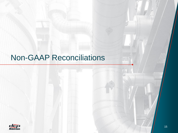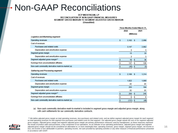#### DCP MIDSTREAM, LP RECONCILIATION OF NON-GAAP FINANCIAL MEASURES SEGMENT GROSS MARGIN TO SEGMENT ADJUSTED GROSS MARGIN (Unaudited)

|                                                  | Three Months Ended March 31, |            |            |       |
|--------------------------------------------------|------------------------------|------------|------------|-------|
|                                                  |                              | 2022       |            | 2021  |
|                                                  |                              |            | (Millions) |       |
| Logistics and Marketing segment:                 |                              |            |            |       |
| Operating revenues                               | s.                           | $3,163$ \$ |            | 2,098 |
| Cost of revenues                                 |                              |            |            |       |
| Purchases and related costs                      |                              | 3,147      |            | 2,062 |
| Depreciation and amortization expense            |                              | 3          |            | з     |
| Segment gross margin                             |                              | 13         |            | 33    |
| Depreciation and amortization expense            |                              | 3          |            | 3     |
| Segment adjusted gross margin**                  | \$                           | 16         | S          | 36    |
| Earnings from unconsolidated affiliates          | S                            | 137        | S          | 120   |
| Non-cash commodity derivative mark-to-market (a) | \$                           | (45)       | 5          | (5)   |
| <b>Gathering and Processing segment:</b>         |                              |            |            |       |
| Operating revenues                               | \$                           | 2,106      | s.         | 1,314 |
| Cost of revenues                                 |                              |            |            |       |
| Purchases and related costs                      |                              | 1,822      |            | 1,069 |
| Depreciation and amortization expense            |                              | 81         |            | 81    |
| Segment gross margin                             |                              | 203        |            | 164   |
| Depreciation and amortization expense            |                              | 81         |            | 81    |
| Segment adjusted gross margin**                  | S                            | 284        | \$         | 245   |
| Earnings from unconsolidated affiliates          | \$                           | 6          | \$         | 8     |
| Non-cash commodity derivative mark-to-market (a) | \$                           | (131)      | s          | (48)  |

#### (a) Non-cash commodity derivative mark-to-market is included in segment gross margin and adjusted gross margin, along with cash settlements for our commodity derivative contracts.



16 \*\* We define adjusted gross margin as total operating revenues, less purchases and related costs, and we define segment adjusted gross margin for each segment as total operating revenues for that segment less purchases and related costs for that segment. Our adjusted gross margin equals the sum of our segment adjusted *gross margins. Adjusted gross margin and segment adjusted gross margin are primary performance measures used by management, as these measures represent the results of product sales and purchases, a key component of our operations. As an indicator of our operating performance, adjusted gross margin and segment adjusted gross margin should not be considered an alternative to, or more meaningful than, operating revenues, gross margin, segment gross margin, net income or*  loss, net income or loss attributable to partners, operating income, net cash provided by operating activities or any other measure of financial performance presented *in accordance with GAAP.*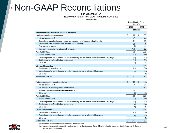DCP MIDSTREAM, LP RECONCILIATION OF NON-GAAP FINANCIAL MEASURES

(Unaudited)

|                                                                                                       |                | March 31.      | <b>Three Months Ended</b> |              |
|-------------------------------------------------------------------------------------------------------|----------------|----------------|---------------------------|--------------|
|                                                                                                       |                | 2022           |                           | 2021         |
|                                                                                                       |                |                | (Millions)                |              |
| <b>Reconciliation of Non-GAAP Financial Measures:</b>                                                 |                |                |                           |              |
| Net income attributable to partners                                                                   | \$             | 80             | S                         | 53           |
| Interest expense, net                                                                                 |                | 71             |                           | 77           |
| Depreciation, amortization and income tax expense, net of noncontrolling interests                    |                | 91             |                           | 91           |
| Distributions from unconsolidated affiliates, net of earnings                                         |                | 25             |                           | $\mathbf{1}$ |
| Gain on sale of assets                                                                                |                | (7)            |                           |              |
| Non-cash commodity derivative mark-to-market                                                          |                | 176            |                           | 53           |
| Adjusted EBITDA                                                                                       |                | 436            |                           | 275          |
| Interest expense, net                                                                                 |                | (71)           |                           | (77)         |
| Sustaining capital expenditures, net of noncontrolling interest portion and reimbursable projects (a) |                | (13)           |                           | (10)         |
| Distributions to preferred limited partners (b)                                                       |                | (14)           |                           | (14)         |
| Other, net                                                                                            |                | (1)            |                           | 1            |
| Distributable cash flow                                                                               |                | 337            |                           | 175          |
| Distributions to limited partners                                                                     |                | (81)           |                           | (81)         |
| Expansion capital expenditures and equity investments, net of reimbursable projects                   |                | (9)            |                           | (4)          |
| Other, net                                                                                            |                | —              |                           | (1)          |
| Excess free cash flow                                                                                 | $\mathfrak{s}$ | 247            | \$                        | 89           |
|                                                                                                       |                |                |                           |              |
| Net cash provided by operating activities                                                             | £.             | 189            | S                         | (4)          |
| Interest expense, net                                                                                 |                | 71             |                           | 77           |
| Net changes in operating assets and liabilities                                                       |                | $\overline{2}$ |                           | 152          |
| Non-cash commodity derivative mark-to-market                                                          |                | 176            |                           | 53           |
| Other, net                                                                                            |                | (2)            |                           | (3)          |
| Adjusted EBITDA                                                                                       |                | 436            |                           | 275          |
| Interest expense, net                                                                                 |                | (71)           |                           | (77)         |
| Sustaining capital expenditures, net of noncontrolling interest portion and reimbursable projects (a) |                | (13)           |                           | (10)         |
| Distributions to preferred limited partners (b)                                                       |                | (14)           |                           | (14)         |
| Other, net                                                                                            |                | (1)            |                           | 1            |
| Distributable cash flow                                                                               |                | 337            |                           | 175          |
| Distributions to limited partners                                                                     |                | (81)           |                           | (81)         |
| Expansion capital expenditures and equity investments, net of reimbursable projects                   |                | (9)            |                           | (4)          |
| Other, net                                                                                            |                |                |                           | (1)          |
| Excess free cash flow                                                                                 | \$             | 247            | \$                        | 89           |
| (a) Evoludas reimburgamente for leges bald imprevemente                                               |                |                |                           |              |



(b) Represents cumulative cash distributions earned by the Series A, B and C Preferred Units, assuming distributions are declared by DCP's board of directors.

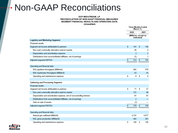#### DCP MIDSTREAM, LP RECONCILIATION OF NON-GAAP FINANCIAL MEASURES SEGMENT FINANCIAL RESULTS AND OPERATING DATA (Unaudited)

|                                                                       |    | March 31.                          |              | <b>Three Months Ended</b> |  |
|-----------------------------------------------------------------------|----|------------------------------------|--------------|---------------------------|--|
|                                                                       |    | 2022                               |              | 2021                      |  |
|                                                                       |    | (Millions, except as<br>indicated) |              |                           |  |
| <b>Logistics and Marketing Segment:</b>                               |    |                                    |              |                           |  |
| Financial results:                                                    |    |                                    |              |                           |  |
| Segment net income attributable to partners                           | s  | 141                                | s            | 146                       |  |
| Non-cash commodity derivative mark-to-market                          |    | 45                                 |              | 5                         |  |
| Depreciation and amortization expense                                 |    | 3                                  |              | 3                         |  |
| Distributions from unconsolidated affiliates, net of earnings         |    | 23                                 |              | 1                         |  |
| Adjusted segment EBITDA                                               | \$ | 212                                | $\mathbb{S}$ | 155                       |  |
|                                                                       |    |                                    |              |                           |  |
| Operating and financial data:                                         |    |                                    |              |                           |  |
| NGL pipelines throughput (MBbls/d)                                    |    | 682                                |              | 578                       |  |
| NGL fractionator throughput (MBbls/d)                                 |    | 53                                 |              | 43                        |  |
| Operating and maintenance expense                                     | s  | 8                                  | s            | 6                         |  |
|                                                                       |    |                                    |              |                           |  |
| <b>Gathering and Processing Segment:</b>                              |    |                                    |              |                           |  |
| Financial results:                                                    |    |                                    |              |                           |  |
| Segment net income attributable to partners                           | s  | 71                                 | s            | 27                        |  |
| Non-cash commodity derivative mark-to-market                          |    | 131                                |              | 48                        |  |
| Depreciation and amortization expense, net of noncontrolling interest |    | 81                                 |              | 81                        |  |
| Distributions from unconsolidated affiliates, net of earnings         |    | $\overline{2}$                     |              |                           |  |
| Gain on sale of assets                                                |    | (7)                                |              |                           |  |
| Adjusted segment EBITDA                                               | \$ | 278                                | s            | 156                       |  |
|                                                                       |    |                                    |              |                           |  |
| Operating and financial data:                                         |    |                                    |              |                           |  |
| Natural gas wellhead (MMcf/d)                                         |    | 4.110                              |              | 4.077                     |  |
| NGL gross production (MBbls/d)                                        |    | 402                                |              | 361                       |  |
| Operating and maintenance expense                                     | s  | 140                                | s            | 140                       |  |